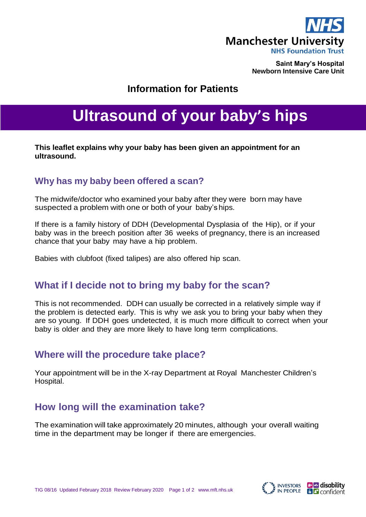

**Saint Mary's Hospital Newborn Intensive Care Unit**

## **Information for Patients**

# **Ultrasound of your baby's hips**

**This leaflet explains why your baby has been given an appointment for an ultrasound.**

### **Why has my baby been offered a scan?**

The midwife/doctor who examined your baby after they were born may have suspected a problem with one or both of your baby'ships.

If there is a family history of DDH (Developmental Dysplasia of the Hip), or if your baby was in the breech position after 36 weeks of pregnancy, there is an increased chance that your baby may have a hip problem.

Babies with clubfoot (fixed talipes) are also offered hip scan.

## **What if I decide not to bring my baby for the scan?**

This is not recommended. DDH can usually be corrected in a relatively simple way if the problem is detected early. This is why we ask you to bring your baby when they are so young. If DDH goes undetected, it is much more difficult to correct when your baby is older and they are more likely to have long term complications.

#### **Where will the procedure take place?**

Your appointment will be in the X-ray Department at Royal Manchester Children's Hospital.

## **How long will the examination take?**

The examination will take approximately 20 minutes, although your overall waiting time in the department may be longer if there are emergencies.